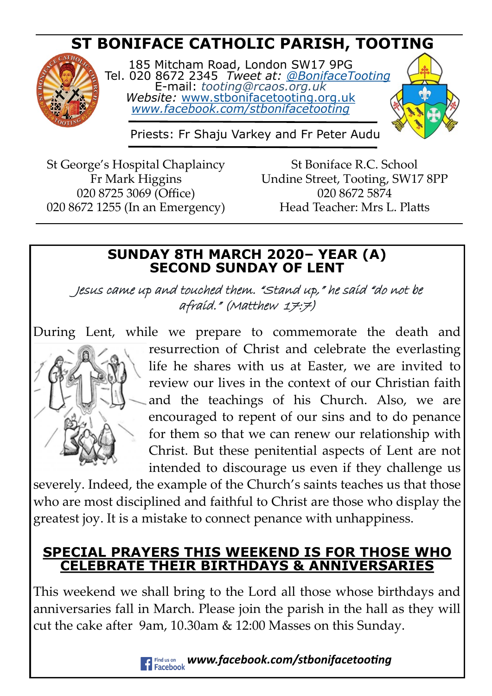# **ST BONIFACE CATHOLIC PARISH, TOOTING**



185 Mitcham Road, London SW17 9PG Tel. 020 8672 2345 *Tweet at: [@BonifaceTooting](http://twitter.com/bonifacetooting)* E-mail: *tooting@rcaos.org.uk Website:* [www.stbonifacetooting.org.uk](http://www.stbonifacetooting.org.uk) *[www.facebook.com/stbonifacetooting](http://www.facebook.com/stbonifacetooting)*



Priests: Fr Shaju Varkey and Fr Peter Audu

St George's Hospital Chaplaincy Fr Mark Higgins 020 8725 3069 (Office) 020 8672 1255 (In an Emergency)

St Boniface R.C. School Undine Street, Tooting, SW17 8PP 020 8672 5874 Head Teacher: Mrs L. Platts

#### **SUNDAY 8TH MARCH 2020– YEAR (A) SECOND SUNDAY OF LENT**

 Jesus came up and touched them. "Stand up," he said "do not be afraid." (Matthew 17:7)

During Lent, while we prepare to commemorate the death and



resurrection of Christ and celebrate the everlasting life he shares with us at Easter, we are invited to review our lives in the context of our Christian faith and the teachings of his Church. Also, we are encouraged to repent of our sins and to do penance for them so that we can renew our relationship with Christ. But these penitential aspects of Lent are not intended to discourage us even if they challenge us

severely. Indeed, the example of the Church's saints teaches us that those who are most disciplined and faithful to Christ are those who display the greatest joy. It is a mistake to connect penance with unhappiness.

#### **SPECIAL PRAYERS THIS WEEKEND IS FOR THOSE WHO CELEBRATE THEIR BIRTHDAYS & ANNIVERSARIES**

This weekend we shall bring to the Lord all those whose birthdays and anniversaries fall in March. Please join the parish in the hall as they will cut the cake after 9am, 10.30am & 12:00 Masses on this Sunday.

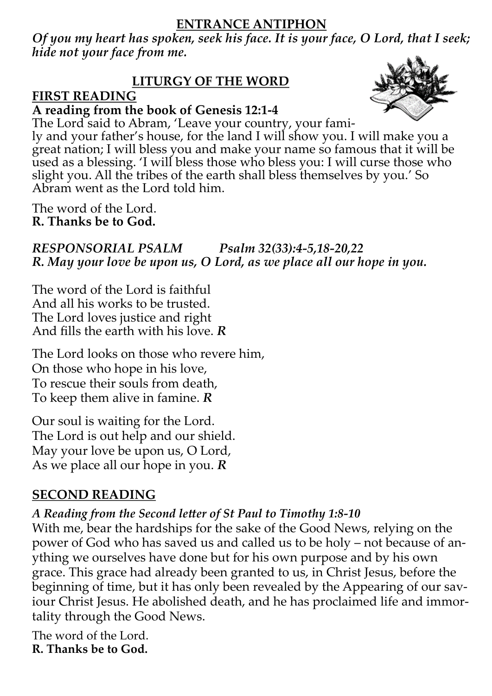#### **ENTRANCE ANTIPHON**

*Of you my heart has spoken, seek his face. It is your face, O Lord, that I seek; hide not your face from me.* 

### **LITURGY OF THE WORD**

# **FIRST READING**

**A reading from the book of Genesis 12:1-4**



The Lord said to Abram, 'Leave your country, your fami-

ly and your father's house, for the land I will show you. I will make you a great nation; I will bless you and make your name so famous that it will be used as a blessing. 'I will bless those who bless you: I will curse those who slight you. All the tribes of the earth shall bless themselves by you.' So Abram went as the Lord told him.

The word of the Lord. **R. Thanks be to God.** 

*RESPONSORIAL PSALM Psalm 32(33):4-5,18-20,22 R. May your love be upon us, O Lord, as we place all our hope in you.* 

The word of the Lord is faithful And all his works to be trusted. The Lord loves justice and right And fills the earth with his love. *R*

The Lord looks on those who revere him, On those who hope in his love, To rescue their souls from death, To keep them alive in famine. *R*

Our soul is waiting for the Lord. The Lord is out help and our shield. May your love be upon us, O Lord, As we place all our hope in you. *R*

### **SECOND READING**

### *A Reading from the Second letter of St Paul to Timothy 1:8-10*

With me, bear the hardships for the sake of the Good News, relying on the power of God who has saved us and called us to be holy – not because of anything we ourselves have done but for his own purpose and by his own grace. This grace had already been granted to us, in Christ Jesus, before the beginning of time, but it has only been revealed by the Appearing of our saviour Christ Jesus. He abolished death, and he has proclaimed life and immortality through the Good News.

The word of the Lord. **R. Thanks be to God.**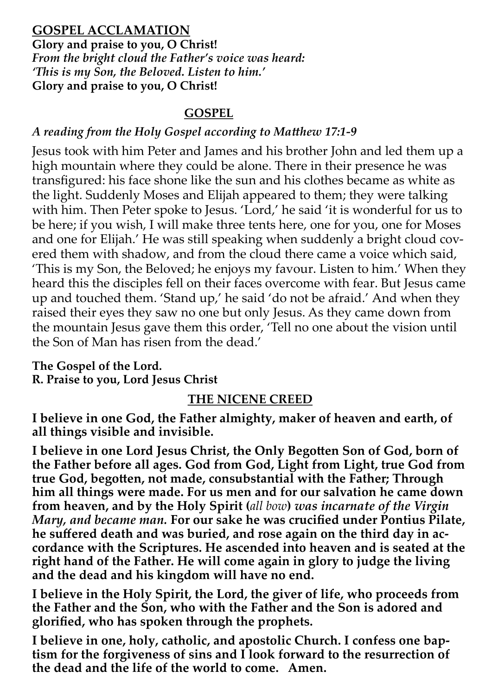#### **GOSPEL ACCLAMATION**

**Glory and praise to you, O Christ!** *From the bright cloud the Father's voice was heard: 'This is my Son, the Beloved. Listen to him.'* **Glory and praise to you, O Christ!**

#### **GOSPEL**

#### *A reading from the Holy Gospel according to Matthew 17:1-9*

Jesus took with him Peter and James and his brother John and led them up a high mountain where they could be alone. There in their presence he was transfigured: his face shone like the sun and his clothes became as white as the light. Suddenly Moses and Elijah appeared to them; they were talking with him. Then Peter spoke to Jesus. 'Lord,' he said 'it is wonderful for us to be here; if you wish, I will make three tents here, one for you, one for Moses and one for Elijah.' He was still speaking when suddenly a bright cloud covered them with shadow, and from the cloud there came a voice which said, 'This is my Son, the Beloved; he enjoys my favour. Listen to him.' When they heard this the disciples fell on their faces overcome with fear. But Jesus came up and touched them. 'Stand up,' he said 'do not be afraid.' And when they raised their eyes they saw no one but only Jesus. As they came down from the mountain Jesus gave them this order, 'Tell no one about the vision until the Son of Man has risen from the dead.'

**The Gospel of the Lord. R. Praise to you, Lord Jesus Christ**

#### **THE NICENE CREED**

**I believe in one God, the Father almighty, maker of heaven and earth, of all things visible and invisible.** 

**I believe in one Lord Jesus Christ, the Only Begotten Son of God, born of the Father before all ages. God from God, Light from Light, true God from true God, begotten, not made, consubstantial with the Father; Through him all things were made. For us men and for our salvation he came down from heaven, and by the Holy Spirit (***all bow***)** *was incarnate of the Virgin Mary, and became man.* **For our sake he was crucified under Pontius Pilate, he suffered death and was buried, and rose again on the third day in accordance with the Scriptures. He ascended into heaven and is seated at the right hand of the Father. He will come again in glory to judge the living and the dead and his kingdom will have no end.** 

**I believe in the Holy Spirit, the Lord, the giver of life, who proceeds from the Father and the Son, who with the Father and the Son is adored and glorified, who has spoken through the prophets.** 

**I believe in one, holy, catholic, and apostolic Church. I confess one baptism for the forgiveness of sins and I look forward to the resurrection of the dead and the life of the world to come. Amen.**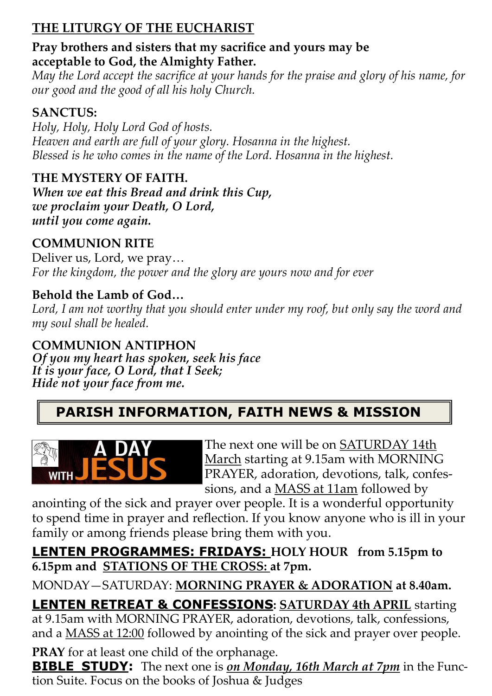### **THE LITURGY OF THE EUCHARIST**

### **Pray brothers and sisters that my sacrifice and yours may be acceptable to God, the Almighty Father.**

*May the Lord accept the sacrifice at your hands for the praise and glory of his name, for our good and the good of all his holy Church.*

# **SANCTUS:**

*Holy, Holy, Holy Lord God of hosts. Heaven and earth are full of your glory. Hosanna in the highest. Blessed is he who comes in the name of the Lord. Hosanna in the highest.* 

## **THE MYSTERY OF FAITH.**

*When we eat this Bread and drink this Cup, we proclaim your Death, O Lord, until you come again.* 

# **COMMUNION RITE**

Deliver us, Lord, we pray… *For the kingdom, the power and the glory are yours now and for ever*

# **Behold the Lamb of God…**

Lord, I am not worthy that you should enter under my roof, but only say the word and *my soul shall be healed.*

**COMMUNION ANTIPHON** *Of you my heart has spoken, seek his face It is your face, O Lord, that I Seek; Hide not your face from me.* 

# **PARISH INFORMATION, FAITH NEWS & MISSION**



The next one will be on SATURDAY 14th March starting at 9.15am with MORNING PRAYER, adoration, devotions, talk, confessions, and a MASS at 11am followed by

anointing of the sick and prayer over people. It is a wonderful opportunity to spend time in prayer and reflection. If you know anyone who is ill in your family or among friends please bring them with you.

**LENTEN PROGRAMMES: FRIDAYS: HOLY HOUR from 5.15pm to 6.15pm and STATIONS OF THE CROSS: at 7pm.**

MONDAY—SATURDAY: **MORNING PRAYER & ADORATION at 8.40am.**

**LENTEN RETREAT & CONFESSIONS: SATURDAY 4th APRIL** starting at 9.15am with MORNING PRAYER, adoration, devotions, talk, confessions, and a MASS at 12:00 followed by anointing of the sick and prayer over people.

**PRAY** for at least one child of the orphanage.

**BIBLE STUDY:** The next one is *on Monday, 16th March at 7pm* in the Function Suite. Focus on the books of Joshua & Judges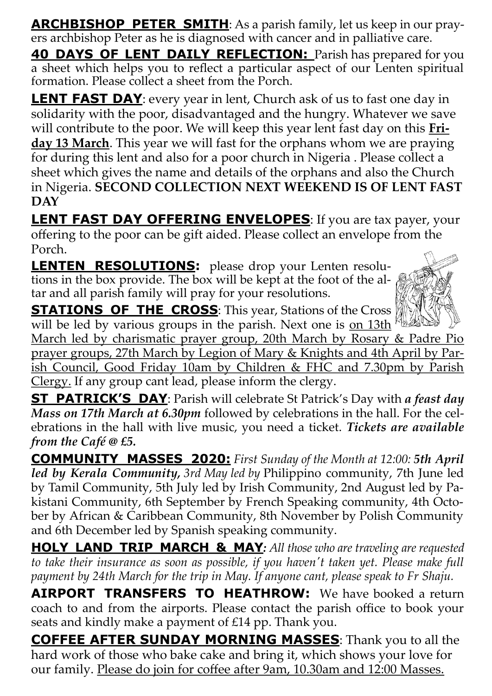**ARCHBISHOP PETER SMITH**: As a parish family, let us keep in our prayers archbishop Peter as he is diagnosed with cancer and in palliative care.

**40 DAYS OF LENT DAILY REFLECTION:** Parish has prepared for you a sheet which helps you to reflect a particular aspect of our Lenten spiritual formation. Please collect a sheet from the Porch.

**LENT FAST DAY**: every year in lent, Church ask of us to fast one day in solidarity with the poor, disadvantaged and the hungry. Whatever we save will contribute to the poor. We will keep this year lent fast day on this **Friday 13 March**. This year we will fast for the orphans whom we are praying for during this lent and also for a poor church in Nigeria . Please collect a sheet which gives the name and details of the orphans and also the Church in Nigeria. **SECOND COLLECTION NEXT WEEKEND IS OF LENT FAST DAY**

**LENT FAST DAY OFFERING ENVELOPES**: If you are tax payer, your offering to the poor can be gift aided. Please collect an envelope from the Porch.

**LENTEN RESOLUTIONS:** please drop your Lenten resolutions in the box provide. The box will be kept at the foot of the altar and all parish family will pray for your resolutions.

**STATIONSOF THE CROSS:** This year, Stations of the Cross will be led by various groups in the parish. Next one is on 13th

March led by charismatic prayer group, 20th March by Rosary & Padre Pio prayer groups, 27th March by Legion of Mary & Knights and 4th April by Parish Council, Good Friday 10am by Children & FHC and 7.30pm by Parish Clergy. If any group cant lead, please inform the clergy.

**ST PATRICK'S DAY**: Parish will celebrate St Patrick's Day with *a feast day Mass on 17th March at 6.30pm* followed by celebrations in the hall. For the celebrations in the hall with live music, you need a ticket. *Tickets are available from the Café @ £5.*

**COMMUNITY MASSES 2020:** *First Sunday of the Month at 12:00: 5th April led by Kerala Community, 3rd May led by* Philippino community, 7th June led by Tamil Community, 5th July led by Irish Community, 2nd August led by Pakistani Community, 6th September by French Speaking community, 4th October by African & Caribbean Community, 8th November by Polish Community and 6th December led by Spanish speaking community.

**HOLY LAND TRIP MARCH & MAY***: All those who are traveling are requested to take their insurance as soon as possible, if you haven't taken yet. Please make full payment by 24th March for the trip in May. If anyone cant, please speak to Fr Shaju.*

**AIRPORT TRANSFERS TO HEATHROW:** We have booked a return coach to and from the airports. Please contact the parish office to book your seats and kindly make a payment of £14 pp. Thank you.

**COFFEE AFTER SUNDAY MORNING MASSES**: Thank you to all the hard work of those who bake cake and bring it, which shows your love for our family. Please do join for coffee after 9am, 10.30am and 12:00 Masses.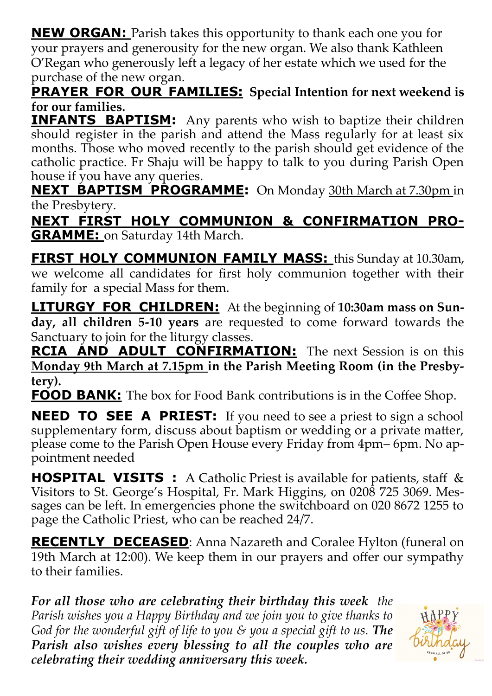**NEW ORGAN:** Parish takes this opportunity to thank each one you for your prayers and generousity for the new organ. We also thank Kathleen O'Regan who generously left a legacy of her estate which we used for the purchase of the new organ.

#### **PRAYER FOR OUR FAMILIES: Special Intention for next weekend is for our families.**

**INFANTS BAPTISM:** Any parents who wish to baptize their children should register in the parish and attend the Mass regularly for at least six months. Those who moved recently to the parish should get evidence of the catholic practice. Fr Shaju will be happy to talk to you during Parish Open house if you have any queries.

**NEXT BAPTISM PROGRAMME:** On Monday 30th March at 7.30pm in the Presbytery.

**NEXT FIRST HOLY COMMUNION & CONFIRMATION PRO-GRAMME:** on Saturday 14th March.

**FIRST HOLY COMMUNION FAMILY MASS:** this Sunday at 10.30am, we welcome all candidates for first holy communion together with their family for a special Mass for them.

**LITURGY FOR CHILDREN:** At the beginning of **10:30am mass on Sunday, all children 5-10 years** are requested to come forward towards the Sanctuary to join for the liturgy classes.

**RCIA AND ADULT CONFIRMATION:** The next Session is on this **Monday 9th March at 7.15pm in the Parish Meeting Room (in the Presbytery).**

**FOOD BANK:** The box for Food Bank contributions is in the Coffee Shop.

**NEED TO SEE A PRIEST:** If you need to see a priest to sign a school supplementary form, discuss about baptism or wedding or a private matter, please come to the Parish Open House every Friday from 4pm– 6pm. No appointment needed

**HOSPITAL VISITS :** A Catholic Priest is available for patients, staff & Visitors to St. George's Hospital, Fr. Mark Higgins, on 0208 725 3069. Messages can be left. In emergencies phone the switchboard on 020 8672 1255 to page the Catholic Priest, who can be reached 24/7.

**RECENTLY DECEASED:** Anna Nazareth and Coralee Hylton (funeral on 19th March at 12:00). We keep them in our prayers and offer our sympathy to their families.

*For all those who are celebrating their birthday this week the Parish wishes you a Happy Birthday and we join you to give thanks to God for the wonderful gift of life to you & you a special gift to us. The Parish also wishes every blessing to all the couples who are celebrating their wedding anniversary this week.*

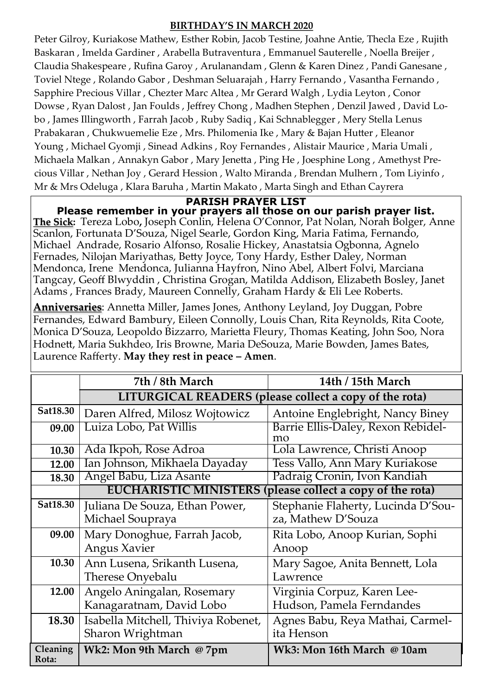#### **BIRTHDAY'S IN MARCH 2020**

Peter Gilroy, Kuriakose Mathew, Esther Robin, Jacob Testine, Joahne Antie, Thecla Eze , Rujith Baskaran , Imelda Gardiner , Arabella Butraventura , Emmanuel Sauterelle , Noella Breijer , Claudia Shakespeare , Rufina Garoy , Arulanandam , Glenn & Karen Dinez , Pandi Ganesane , Toviel Ntege , Rolando Gabor , Deshman Seluarajah , Harry Fernando , Vasantha Fernando , Sapphire Precious Villar , Chezter Marc Altea , Mr Gerard Walgh , Lydia Leyton , Conor Dowse , Ryan Dalost , Jan Foulds , Jeffrey Chong , Madhen Stephen , Denzil Jawed , David Lobo , James Illingworth , Farrah Jacob , Ruby Sadiq , Kai Schnablegger , Mery Stella Lenus Prabakaran , Chukwuemelie Eze , Mrs. Philomenia Ike , Mary & Bajan Hutter , Eleanor Young , Michael Gyomji , Sinead Adkins , Roy Fernandes , Alistair Maurice , Maria Umali , Michaela Malkan , Annakyn Gabor , Mary Jenetta , Ping He , Joesphine Long , Amethyst Precious Villar , Nethan Joy , Gerard Hession , Walto Miranda , Brendan Mulhern , Tom Liyinfo , Mr & Mrs Odeluga , Klara Baruha , Martin Makato , Marta Singh and Ethan Cayrera

#### **PARISH PRAYER LIST**

**Please remember in your prayers all those on our parish prayer list. The Sick:** Tereza Lobo**,** Joseph Conlin, Helena O'Connor, Pat Nolan, Norah Bolger, Anne Scanlon, Fortunata D'Souza, Nigel Searle, Gordon King, Maria Fatima, Fernando, Michael Andrade, Rosario Alfonso, Rosalie Hickey, Anastatsia Ogbonna, Agnelo Fernades, Nilojan Mariyathas, Betty Joyce, Tony Hardy, Esther Daley, Norman Mendonca, Irene Mendonca, Julianna Hayfron, Nino Abel, Albert Folvi, Marciana Tangcay, Geoff Blwyddin , Christina Grogan, Matilda Addison, Elizabeth Bosley, Janet Adams , Frances Brady, Maureen Connelly, Graham Hardy & Eli Lee Roberts.

**Anniversaries**: Annetta Miller, James Jones, Anthony Leyland, Joy Duggan, Pobre Fernandes, Edward Bambury, Eileen Connolly, Louis Chan, Rita Reynolds, Rita Coote, Monica D'Souza, Leopoldo Bizzarro, Marietta Fleury, Thomas Keating, John Soo, Nora Hodnett, Maria Sukhdeo, Iris Browne, Maria DeSouza, Marie Bowden, James Bates, Laurence Rafferty. **May they rest in peace – Amen**.

|                   | 7th / 8th March                                                     | 14th / 15th March                  |  |
|-------------------|---------------------------------------------------------------------|------------------------------------|--|
|                   | LITURGICAL READERS (please collect a copy of the rota)              |                                    |  |
| Sat18.30          | Daren Alfred, Milosz Wojtowicz                                      | Antoine Englebright, Nancy Biney   |  |
| 09.00             | Luiza Lobo, Pat Willis                                              | Barrie Ellis-Daley, Rexon Rebidel- |  |
| 10.30             | Ada Ikpoh, Rose Adroa                                               | mo<br>Lola Lawrence, Christi Anoop |  |
|                   |                                                                     |                                    |  |
| 12.00             | Ian Johnson, Mikhaela Dayaday                                       | Tess Vallo, Ann Mary Kuriakose     |  |
| 18.30             | Angel Babu, Liza Asante                                             | Padraig Cronin, Ivon Kandiah       |  |
|                   | (please collect a copy of the rota)<br><b>EUCHARISTIC MINISTERS</b> |                                    |  |
| Sat18.30          | Juliana De Souza, Ethan Power,                                      | Stephanie Flaherty, Lucinda D'Sou- |  |
|                   | Michael Soupraya                                                    | za, Mathew D'Souza                 |  |
| 09.00             | Mary Donoghue, Farrah Jacob,                                        | Rita Lobo, Anoop Kurian, Sophi     |  |
|                   | <b>Angus Xavier</b>                                                 | Anoop                              |  |
| 10.30             | Ann Lusena, Srikanth Lusena,                                        | Mary Sagoe, Anita Bennett, Lola    |  |
|                   | Therese Onyebalu                                                    | Lawrence                           |  |
| 12.00             | Angelo Aningalan, Rosemary                                          | Virginia Corpuz, Karen Lee-        |  |
|                   | Kanagaratnam, David Lobo                                            | Hudson, Pamela Ferndandes          |  |
| 18.30             | Isabella Mitchell, Thiviya Robenet,                                 | Agnes Babu, Reya Mathai, Carmel-   |  |
|                   | Sharon Wrightman                                                    | ita Henson                         |  |
| Cleaning<br>Rota: | Wk2: Mon 9th March @ 7pm                                            | Wk3: Mon 16th March @ 10am         |  |